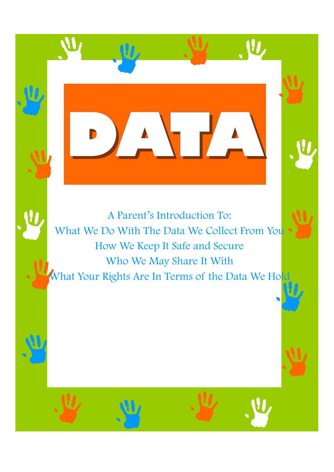A Parent's Introduction To: What We Do With The Data We Collect From You How We Keep It Safe and Secure Who We May Share It With What Your Rights Are In Terms of the Data We Hold

**DATA** 

<u>U</u>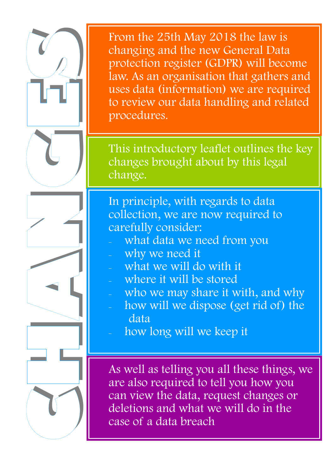From the 25th May 2018 the law is changing and the new General Data protection register (GDPR) will become law. As an organisation that gathers and uses data (information) we are required to review our data handling and related procedures.

This introductory leaflet outlines the key changes brought about by this legal change.

In principle, with regards to data collection, we are now required to carefully consider:

- what data we need from you
- why we need it

**H**

**A**

**N**

**G**

ן<br>ד

**S**

- what we will do with it
- where it will be stored
- who we may share it with, and why
- how will we dispose (get rid of) the data
- how long will we keep it

As well as telling you all these things, we are also required to tell you how you can view the data, request changes or deletions and what we will do in the case of a data breach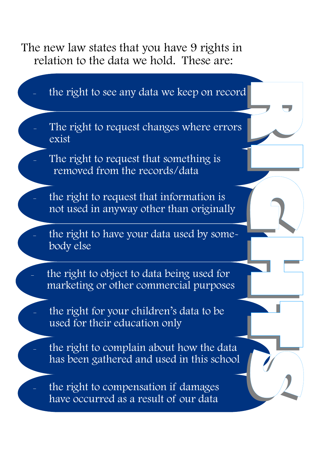The new law states that you have 9 rights in relation to the data we hold. These are:

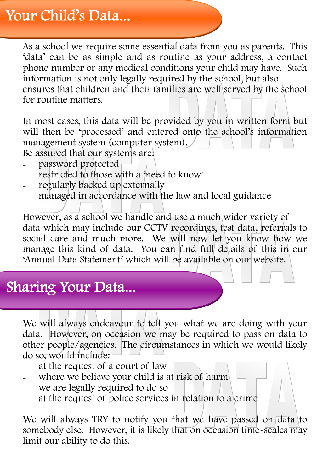## Your Child's Data...

As a school we require some essential data from you as parents. This 'data' can be as simple and as routine as your address, a contact phone number or any medical conditions your child may have. Such information is not only legally required by the school, but also ensures that children and their families are well served by the school for routine matters.

In most cases, this data will be provided by you in written form but will then be 'processed' and entered onto the school's information management system (computer system). Be assured that our systems are:

- password protected
- restricted to those with a 'need to know'
- regularly backed up externally
- managed in accordance with the law and local guidance

However, as a school we handle and use a much wider variety of data which may include our CCTV recordings, test data, referrals to social care and much more. We will now let you know how we manage this kind of data. You can find full details of this in our 'Annual Data Statement' which will be available on our website.

## Sharing Your Data...

We will always endeavour to tell you what we are doing with your data. However, on occasion we may be required to pass on data to other people/agencies. The circumstances in which we would likely do so, would include:

- at the request of a court of law
- where we believe your child is at risk of harm
- we are legally required to do so
- at the request of police services in relation to a crime

We will always TRY to notify you that we have passed on  $\frac{1}{\text{data}}$  to somebody else. However, it is likely that on occasion time-scales may limit our ability to do this.